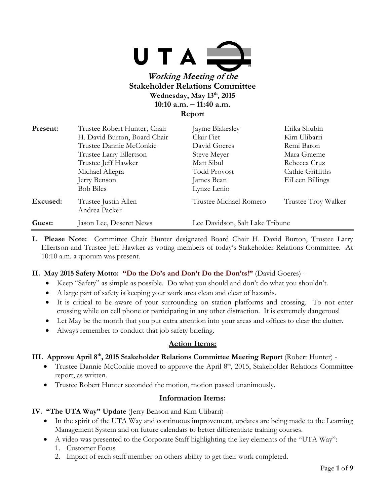

**Report**

| Present: | Trustee Robert Hunter, Chair          | Jayme Blakesley                 | Erika Shubin        |
|----------|---------------------------------------|---------------------------------|---------------------|
|          | H. David Burton, Board Chair          | Clair Fiet                      | Kim Ulibarri        |
|          | Trustee Dannie McConkie               | David Goeres                    | Remi Baron          |
|          | Trustee Larry Ellertson               | Steve Meyer                     | Mara Graeme         |
|          | Trustee Jeff Hawker                   | Matt Sibul                      | Rebecca Cruz        |
|          | Michael Allegra                       | <b>Todd Provost</b>             | Cathie Griffiths    |
|          | Jerry Benson                          | James Bean                      | EiLeen Billings     |
|          | <b>Bob Biles</b>                      | Lynze Lenio                     |                     |
| Excused: | Trustee Justin Allen<br>Andrea Packer | Trustee Michael Romero          | Trustee Troy Walker |
| Guest:   | Jason Lee, Deseret News               | Lee Davidson, Salt Lake Tribune |                     |

**I. Please Note:** Committee Chair Hunter designated Board Chair H. David Burton, Trustee Larry Ellertson and Trustee Jeff Hawker as voting members of today's Stakeholder Relations Committee. At 10:10 a.m. a quorum was present.

### **II. May 2015 Safety Motto: "Do the Do's and Don't Do the Don'ts!"** (David Goeres) -

- Keep "Safety" as simple as possible. Do what you should and don't do what you shouldn't.
- A large part of safety is keeping your work area clean and clear of hazards.
- It is critical to be aware of your surrounding on station platforms and crossing. To not enter crossing while on cell phone or participating in any other distraction. It is extremely dangerous!
- Let May be the month that you put extra attention into your areas and offices to clear the clutter.
- Always remember to conduct that job safety briefing.

### **Action Items:**

### **III. Approve April 8th, 2015 Stakeholder Relations Committee Meeting Report** (Robert Hunter) -

- Trustee Dannie McConkie moved to approve the April 8<sup>th</sup>, 2015, Stakeholder Relations Committee report, as written.
- Trustee Robert Hunter seconded the motion, motion passed unanimously.

# **Information Items:**

**IV. "The UTA Way" Update** (Jerry Benson and Kim Ulibarri) -

- In the spirit of the UTA Way and continuous improvement, updates are being made to the Learning Management System and on future calendars to better differentiate training courses.
- A video was presented to the Corporate Staff highlighting the key elements of the "UTA Way":
	- 1. Customer Focus
	- 2. Impact of each staff member on others ability to get their work completed.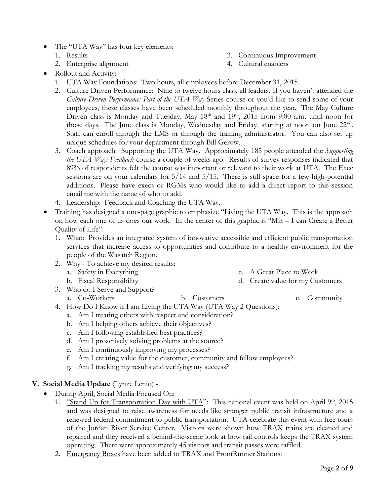- The "UTA Way" has four key elements:
	- 1. Results

3. Continuous Improvement

2. Enterprise alignment

4. Cultural enablers

- Rollout and Activity:
	- 1. UTA Way Foundations: Two hours, all employees before December 31, 2015.
	- 2. Culture Driven Performance: Nine to twelve hours class, all leaders. If you haven't attended the *Culture Driven Performance: Part of the UTA Way* Series course or you'd like to send some of your employees, these classes have been scheduled monthly throughout the year. The May Culture Driven class is Monday and Tuesday, May  $18<sup>th</sup>$  and  $19<sup>th</sup>$ , 2015 from 9:00 a.m. until noon for those days. The June class is Monday, Wednesday and Friday, starting at noon on June 22<sup>nd</sup>. Staff can enroll through the LMS or through the training administrator. You can also set up unique schedules for your department through Bill Gerow.
	- 3. Coach approach: Supporting the UTA Way. Approximately 185 people attended the *Supporting the UTA Way: Feedback* course a couple of weeks ago. Results of survey responses indicated that 89% of respondents felt the course was important or relevant to their work at UTA. The Exec sessions are on your calendars for 5/14 and 5/15. There is still space for a few high-potential additions. Please have execs or RGMs who would like to add a direct report to this session email me with the name of who to add.
	- 4. Leadership: Feedback and Coaching the UTA Way.
- Training has designed a one-page graphic to emphasize "Living the UTA Way. This is the approach on how each one of us does our work. In the center of this graphic is "ME – I can Create a Better Quality of Life":
	- 1. What: Provides an integrated system of innovative accessible and efficient public transportation services that increase access to opportunities and contribute to a healthy environment for the people of the Wasatch Region.
	- 2. Why To achieve my desired results:
		- a. Safety in Everything
		- b. Fiscal Responsibility

c. A Great Place to Work d. Create value for my Customers

- 3. Who do I Serve and Support?
	-
	- a. Co-Workers b. Customers c. Community
- 
- 4. How Do I Know if I am Living the UTA Way (UTA Way 2 Questions):
	- a. Am I treating others with respect and consideration?
	- b. Am I helping others achieve their objectives?
	- c. Am I following established best practices?
	- d. Am I proactively solving problems at the source?
	- e. Am I continuously improving my processes?
	- f. Am I creating value for the customer, community and fellow employees?
	- g. Am I tracking my results and verifying my success?
- **V. Social Media Update** (Lynze Lenio)
	- During April, Social Media Focused On:
		- 1. "Stand Up for Transportation Day with UTA": This national event was held on April  $9<sup>th</sup>$ , 2015 and was designed to raise awareness for needs like stronger public transit infrastructure and a renewed federal commitment to public transportation. UTA celebrate this event with free tours of the Jordan River Service Center. Visitors were shown how TRAX trains are cleaned and repaired and they received a behind-the-scene look at how rail controls keeps the TRAX system operating. There were approximately 45 visitors and transit passes were raffled.
		- 2. Emergency Boxes have been added to TRAX and FrontRunner Stations: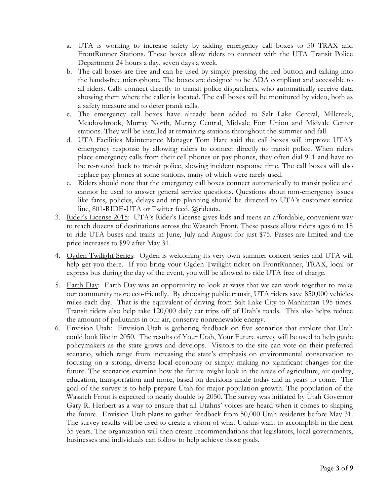- a. UTA is working to increase safety by adding emergency call boxes to 50 TRAX and FrontRunner Stations. These boxes allow riders to connect with the UTA Transit Police Department 24 hours a day, seven days a week.
- b. The call boxes are free and can be used by simply pressing the red button and talking into the hands-free microphone. The boxes are designed to be ADA compliant and accessible to all riders. Calls connect directly to transit police dispatchers, who automatically receive data showing them where the caller is located. The call boxes will be monitored by video, both as a safety measure and to deter prank calls.
- c. The emergency call boxes have already been added to Salt Lake Central, Millcreek, Meadowbrook, Murray North, Murray Central, Midvale Fort Union and Midvale Center stations. They will be installed at remaining stations throughout the summer and fall.
- d. UTA Facilities Maintenance Manager Tom Hare said the call boxes will improve UTA's emergency response by allowing riders to connect directly to transit police. When riders place emergency calls from their cell phones or pay phones, they often dial 911 and have to be re-routed back to transit police, slowing incident response time. The call boxes will also replace pay phones at some stations, many of which were rarely used.
- e. Riders should note that the emergency call boxes connect automatically to transit police and cannot be used to answer general service questions. Questions about non-emergency issues like fares, policies, delays and trip planning should be directed to UTA's customer service line, 801-RIDE-UTA or Twitter feed, @rideuta.
- 3. Rider's License 2015: UTA's Rider's License gives kids and teens an affordable, convenient way to reach dozens of destinations across the Wasatch Front. These passes allow riders ages 6 to 18 to ride UTA buses and trains in June, July and August for just \$75. Passes are limited and the price increases to \$99 after May 31.
- 4. Ogden Twilight Series: Ogden is welcoming its very own summer concert series and UTA will help get you there. If you bring your Ogden Twilight ticket on FrontRunner, TRAX, local or express bus during the day of the event, you will be allowed to ride UTA free of charge.
- 5. Earth Day: Earth Day was an opportunity to look at ways that we can work together to make our community more eco-friendly. By choosing public transit, UTA riders save 850,000 vehicles miles each day. That is the equivalent of driving from Salt Lake City to Manhattan 195 times. Transit riders also help take 120,000 daily car trips off of Utah's roads. This also helps reduce the amount of pollutants in our air, conserve nonrenewable energy.
- 6. Envision Utah: Envision Utah is gathering feedback on five scenarios that explore that Utah could look like in 2050. The results of Your Utah, Your Future survey will be used to help guide policymakers as the state grows and develops. Visitors to the site can vote on their preferred scenario, which range from increasing the state's emphasis on environmental conservation to focusing on a strong, diverse local economy or simply making no significant changes for the future. The scenarios examine how the future might look in the areas of agriculture, air quality, education, transportation and more, based on decisions made today and in years to come. The goal of the survey is to help prepare Utah for major population growth. The population of the Wasatch Front is expected to nearly double by 2050. The survey was initiated by Utah Governor Gary R. Herbert as a way to ensure that all Utahns' voices are heard when it comes to shaping the future. Envision Utah plans to gather feedback from 50,000 Utah residents before May 31. The survey results will be used to create a vision of what Utahns want to accomplish in the next 35 years. The organization will then create recommendations that legislators, local governments, businesses and individuals can follow to help achieve those goals.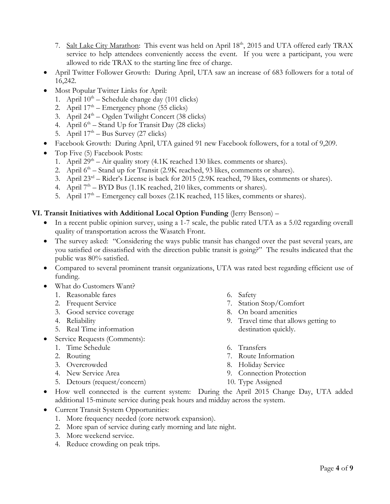- 7. Salt Lake City Marathon: This event was held on April 18<sup>th</sup>, 2015 and UTA offered early TRAX service to help attendees conveniently access the event. If you were a participant, you were allowed to ride TRAX to the starting line free of charge.
- April Twitter Follower Growth: During April, UTA saw an increase of 683 followers for a total of 16,242.
- Most Popular Twitter Links for April:
	- 1. April  $10^{th}$  Schedule change day (101 clicks)
	- 2. April  $17<sup>th</sup>$  Emergency phone (55 clicks)
	- 3. April  $24<sup>th</sup> Ogden Twilight Concert (38 clicks)$
	- 4. April  $6<sup>th</sup>$  Stand Up for Transit Day (28 clicks)
	- 5. April  $17<sup>th</sup> Bus Survey (27 clicks)$
- Facebook Growth: During April, UTA gained 91 new Facebook followers, for a total of 9,209.
- Top Five (5) Facebook Posts:
	- 1. April  $29<sup>th</sup> Air quality story (4.1K reached 130 likes. comments or shares).$
	- 2. April 6<sup>th</sup> Stand up for Transit (2.9K reached, 93 likes, comments or shares).
	- 3. April 23rd Rider's License is back for 2015 (2.9K reached, 79 likes, comments or shares).
	- 4. April  $7<sup>th</sup> BYD$  Bus (1.1K reached, 210 likes, comments or shares).
	- 5. April 17<sup>th</sup> Emergency call boxes (2.1K reached, 115 likes, comments or shares).

### **VI. Transit Initiatives with Additional Local Option Funding** (Jerry Benson) –

- In a recent public opinion survey, using a 1-7 scale, the public rated UTA as a 5.02 regarding overall quality of transportation across the Wasatch Front.
- The survey asked: "Considering the ways public transit has changed over the past several years, are you satisfied or dissatisfied with the direction public transit is going?" The results indicated that the public was 80% satisfied.
- Compared to several prominent transit organizations, UTA was rated best regarding efficient use of funding.
- What do Customers Want?
	- 1. Reasonable fares
	- 2. Frequent Service
	- 3. Good service coverage
	- 4. Reliability
	- 5. Real Time information
- Service Requests (Comments):
	- 1. Time Schedule
	- 2. Routing
	- 3. Overcrowded
	- 4. New Service Area
	- 5. Detours (request/concern)
- 6. Safety
- 7. Station Stop/Comfort
- 8. On board amenities
- 9. Travel time that allows getting to destination quickly.
- 6. Transfers
- 7. Route Information
- 8. Holiday Service
- 9. Connection Protection
- 10. Type Assigned
- How well connected is the current system: During the April 2015 Change Day, UTA added additional 15-minute service during peak hours and midday across the system.
- Current Transit System Opportunities:
	- 1. More frequency needed (core network expansion).
	- 2. More span of service during early morning and late night.
	- 3. More weekend service.
	- 4. Reduce crowding on peak trips.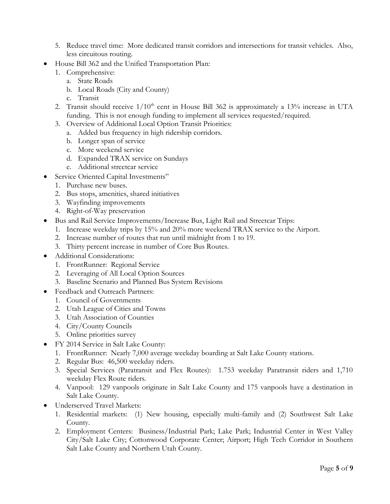- 5. Reduce travel time: More dedicated transit corridors and intersections for transit vehicles. Also, less circuitous routing.
- House Bill 362 and the Unified Transportation Plan:
	- 1. Comprehensive:
		- a. State Roads
			- b. Local Roads (City and County)
		- c. Transit
	- 2. Transit should receive  $1/10<sup>th</sup>$  cent in House Bill 362 is approximately a 13% increase in UTA funding. This is not enough funding to implement all services requested/required.
	- 3. Overview of Additional Local Option Transit Priorities:
		- a. Added bus frequency in high ridership corridors.
			- b. Longer span of service
			- c. More weekend service
			- d. Expanded TRAX service on Sundays
	- e. Additional streetcar service
- Service Oriented Capital Investments"
	- 1. Purchase new buses.
	- 2. Bus stops, amenities, shared initiatives
	- 3. Wayfinding improvements
	- 4. Right-of-Way preservation
- Bus and Rail Service Improvements/Increase Bus, Light Rail and Streetcar Trips:
	- 1. Increase weekday trips by 15% and 20% more weekend TRAX service to the Airport.
	- 2. Increase number of routes that run until midnight from 1 to 19.
	- 3. Thirty percent increase in number of Core Bus Routes.
- Additional Considerations:
	- 1. FrontRunner: Regional Service
	- 2. Leveraging of All Local Option Sources
	- 3. Baseline Scenario and Planned Bus System Revisions
- Feedback and Outreach Partners:
	- 1. Council of Governments
	- 2. Utah League of Cities and Towns
	- 3. Utah Association of Counties
	- 4. City/County Councils
	- 5. Online priorities survey
- FY 2014 Service in Salt Lake County:
	- 1. FrontRunner: Nearly 7,000 average weekday boarding at Salt Lake County stations.
	- 2. Regular Bus: 46,500 weekday riders.
	- 3. Special Services (Paratransit and Flex Routes): 1.753 weekday Paratransit riders and 1,710 weekday Flex Route riders.
	- 4. Vanpool: 129 vanpools originate in Salt Lake County and 175 vanpools have a destination in Salt Lake County.
- Underserved Travel Markets:
	- 1. Residential markets: (1) New housing, especially multi-family and (2) Southwest Salt Lake County.
	- 2. Employment Centers: Business/Industrial Park; Lake Park; Industrial Center in West Valley City/Salt Lake City; Cottonwood Corporate Center; Airport; High Tech Corridor in Southern Salt Lake County and Northern Utah County.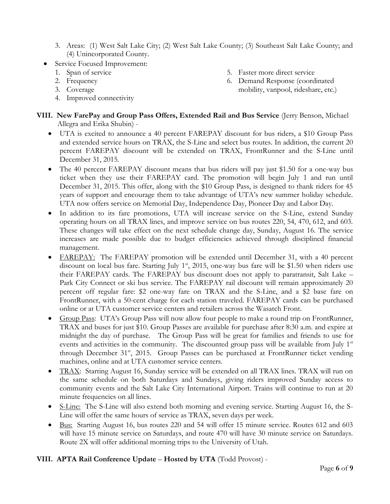- 3. Areas: (1) West Salt Lake City; (2) West Salt Lake County; (3) Southeast Salt Lake County; and (4) Unincorporated County.
- Service Focused Improvement:
	- 1. Span of service
	- 2. Frequency
	- 3. Coverage
	- 4. Improved connectivity
- 5. Faster more direct service
- 6. Demand Response (coordinated mobility, vanpool, rideshare, etc.)

# **VIII. New FarePay and Group Pass Offers, Extended Rail and Bus Service** (Jerry Benson, Michael Allegra and Erika Shubin) -

- UTA is excited to announce a 40 percent FAREPAY discount for bus riders, a \$10 Group Pass and extended service hours on TRAX, the S-Line and select bus routes. In addition, the current 20 percent FAREPAY discount will be extended on TRAX, FrontRunner and the S-Line until December 31, 2015.
- The 40 percent FAREPAY discount means that bus riders will pay just \$1.50 for a one-way bus ticket when they use their FAREPAY card. The promotion will begin July 1 and run until December 31, 2015. This offer, along with the \$10 Group Pass, is designed to thank riders for 45 years of support and encourage them to take advantage of UTA's new summer holiday schedule. UTA now offers service on Memorial Day, Independence Day, Pioneer Day and Labor Day.
- In addition to its fare promotions, UTA will increase service on the S-Line, extend Sunday operating hours on all TRAX lines, and improve service on bus routes 220, 54, 470, 612, and 603. These changes will take effect on the next schedule change day, Sunday, August 16. The service increases are made possible due to budget efficiencies achieved through disciplined financial management.
- FAREPAY: The FAREPAY promotion will be extended until December 31, with a 40 percent discount on local bus fare. Starting July  $1<sup>st</sup>$ , 2015, one-way bus fare will be \$1.50 when riders use their FAREPAY cards. The FAREPAY bus discount does not apply to paratransit, Salt Lake – Park City Connect or ski bus service. The FAREPAY rail discount will remain approximately 20 percent off regular fare: \$2 one-way fare on TRAX and the S-Line, and a \$2 base fare on FrontRunner, with a 50-cent charge for each station traveled. FAREPAY cards can be purchased online or at UTA customer service centers and retailers across the Wasatch Front.
- Group Pass: UTA's Group Pass will now allow four people to make a round trip on FrontRunner, TRAX and buses for just \$10. Group Passes are available for purchase after 8:30 a.m. and expire at midnight the day of purchase. The Group Pass will be great for families and friends to use for events and activities in the community. The discounted group pass will be available from July  $1<sup>st</sup>$ through December 31<sup>st</sup>, 2015. Group Passes can be purchased at FrontRunner ticket vending machines, online and at UTA customer service centers.
- TRAX: Starting August 16, Sunday service will be extended on all TRAX lines. TRAX will run on the same schedule on both Saturdays and Sundays, giving riders improved Sunday access to community events and the Salt Lake City International Airport. Trains will continue to run at 20 minute frequencies on all lines.
- S-Line: The S-Line will also extend both morning and evening service. Starting August 16, the S-Line will offer the same hours of service as TRAX, seven days per week.
- Bus: Starting August 16, bus routes 220 and 54 will offer 15 minute service. Routes 612 and 603 will have 15 minute service on Saturdays, and route 470 will have 30 minute service on Saturdays. Route 2X will offer additional morning trips to the University of Utah.

# **VIII. APTA Rail Conference Update** – **Hosted by UTA** (Todd Provost) -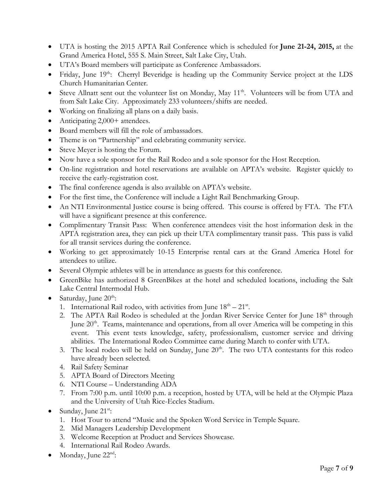- UTA is hosting the 2015 APTA Rail Conference which is scheduled for **June 21-24, 2015,** at the Grand America Hotel, 555 S. Main Street, Salt Lake City, Utah.
- UTA's Board members will participate as Conference Ambassadors.
- Friday, June 19<sup>th</sup>: Cherryl Beveridge is heading up the Community Service project at the LDS Church Humanitarian Center.
- Steve Allnatt sent out the volunteer list on Monday, May 11<sup>th</sup>. Volunteers will be from UTA and from Salt Lake City. Approximately 233 volunteers/shifts are needed.
- Working on finalizing all plans on a daily basis.
- Anticipating 2,000+ attendees.
- Board members will fill the role of ambassadors.
- Theme is on "Partnership" and celebrating community service.
- Steve Meyer is hosting the Forum.
- Now have a sole sponsor for the Rail Rodeo and a sole sponsor for the Host Reception.
- On-line registration and hotel reservations are available on APTA's website. Register quickly to receive the early-registration cost.
- The final conference agenda is also available on APTA's website.
- For the first time, the Conference will include a Light Rail Benchmarking Group.
- An NTI Environmental Justice course is being offered. This course is offered by FTA. The FTA will have a significant presence at this conference.
- Complimentary Transit Pass: When conference attendees visit the host information desk in the APTA registration area, they can pick up their UTA complimentary transit pass. This pass is valid for all transit services during the conference.
- Working to get approximately 10-15 Enterprise rental cars at the Grand America Hotel for attendees to utilize.
- Several Olympic athletes will be in attendance as guests for this conference.
- GreenBike has authorized 8 GreenBikes at the hotel and scheduled locations, including the Salt Lake Central Intermodal Hub.
- Saturday, June  $20^{\text{th}}$ :
	- 1. International Rail rodeo, with activities from June  $18<sup>th</sup> 21<sup>st</sup>$ .
	- 2. The APTA Rail Rodeo is scheduled at the Jordan River Service Center for June 18<sup>th</sup> through June  $20<sup>th</sup>$ . Teams, maintenance and operations, from all over America will be competing in this event. This event tests knowledge, safety, professionalism, customer service and driving abilities. The International Rodeo Committee came during March to confer with UTA.
	- 3. The local rodeo will be held on Sunday, June  $20<sup>th</sup>$ . The two UTA contestants for this rodeo have already been selected.
	- 4. Rail Safety Seminar
	- 5. APTA Board of Directors Meeting
	- 6. NTI Course Understanding ADA
	- 7. From 7:00 p.m. until 10:00 p.m. a reception, hosted by UTA, will be held at the Olympic Plaza and the University of Utah Rice-Eccles Stadium.
- $\bullet$  Sunday, June 21<sup>st</sup>:
	- 1. Host Tour to attend "Music and the Spoken Word Service in Temple Square.
	- 2. Mid Managers Leadership Development
	- 3. Welcome Reception at Product and Services Showcase.
	- 4. International Rail Rodeo Awards.
- $\bullet$  Monday, June 22<sup>nd</sup>: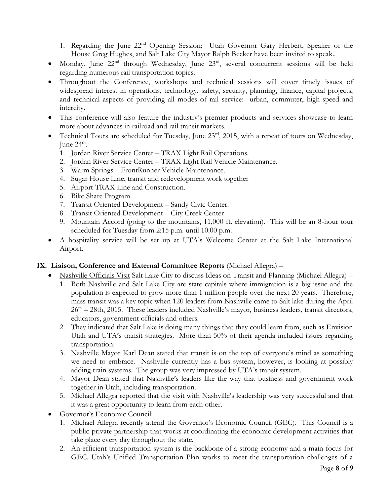1. Regarding the June 22nd Opening Session: Utah Governor Gary Herbert, Speaker of the House Greg Hughes, and Salt Lake City Mayor Ralph Becker have been invited to speak..

- Monday, June 22nd through Wednesday, June 23rd, several concurrent sessions will be held regarding numerous rail transportation topics.
- Throughout the Conference, workshops and technical sessions will cover timely issues of widespread interest in operations, technology, safety, security, planning, finance, capital projects, and technical aspects of providing all modes of rail service: urban, commuter, high-speed and intercity.
- This conference will also feature the industry's premier products and services showcase to learn more about advances in railroad and rail transit markets.
- Technical Tours are scheduled for Tuesday, June  $23<sup>rd</sup>$ , 2015, with a repeat of tours on Wednesday, June  $24^{\text{th}}$ .
	- 1. Jordan River Service Center TRAX Light Rail Operations.
	- 2. Jordan River Service Center TRAX Light Rail Vehicle Maintenance.
	- 3. Warm Springs FrontRunner Vehicle Maintenance.
	- 4. Sugar House Line, transit and redevelopment work together
	- 5. Airport TRAX Line and Construction.
	- 6. Bike Share Program.
	- 7. Transit Oriented Development Sandy Civic Center.
	- 8. Transit Oriented Development City Creek Center
	- 9. Mountain Accord (going to the mountains, 11,000 ft. elevation). This will be an 8-hour tour scheduled for Tuesday from 2:15 p.m. until 10:00 p.m.
- A hospitality service will be set up at UTA's Welcome Center at the Salt Lake International Airport.

# **IX. Liaison, Conference and External Committee Reports** (Michael Allegra) –

- Nashville Officials Visit Salt Lake City to discuss Ideas on Transit and Planning (Michael Allegra)
	- 1. Both Nashville and Salt Lake City are state capitals where immigration is a big issue and the population is expected to grow more than 1 million people over the next 20 years. Therefore, mass transit was a key topic when 120 leaders from Nashville came to Salt lake during the April 26<sup>th</sup> – 28th, 2015. These leaders included Nashville's mayor, business leaders, transit directors, educators, government officials and others.
	- 2. They indicated that Salt Lake is doing many things that they could learn from, such as Envision Utah and UTA's transit strategies. More than 50% of their agenda included issues regarding transportation.
	- 3. Nashville Mayor Karl Dean stated that transit is on the top of everyone's mind as something we need to embrace. Nashville currently has a bus system, however, is looking at possibly adding train systems. The group was very impressed by UTA's transit system.
	- 4. Mayor Dean stated that Nashville's leaders like the way that business and government work together in Utah, including transportation.
	- 5. Michael Allegra reported that the visit with Nashville's leadership was very successful and that it was a great opportunity to learn from each other.
- Governor's Economic Council:
	- 1. Michael Allegra recently attend the Governor's Economic Council (GEC). This Council is a public-private partnership that works at coordinating the economic development activities that take place every day throughout the state.
	- 2. An efficient transportation system is the backbone of a strong economy and a main focus for GEC. Utah's Unified Transportation Plan works to meet the transportation challenges of a